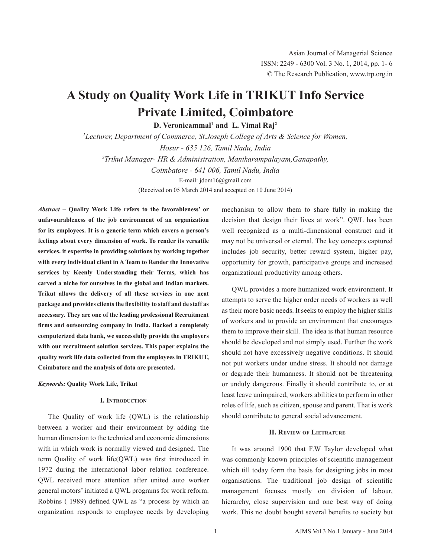# **A Study on Quality Work Life in TRIKUT Info Service Private Limited, Coimbatore**

**D. Veronicammal<sup>1</sup> and L. Vimal Raj<sup>2</sup>** 

*1 Lecturer, Department of Commerce, St.Joseph College of Arts & Science for Women, Hosur - 635 126, Tamil Nadu, India 2 Trikut Manager- HR & Administration, Manikarampalayam,Ganapathy, Coimbatore - 641 006, Tamil Nadu, India* E-mail: jdom16@gmail.com (Received on 05 March 2014 and accepted on 10 June 2014)

*Abstract* **– Quality Work Life refers to the favorableness' or unfavourableness of the job environment of an organization for its employees. It is a generic term which covers a person's feelings about every dimension of work. To render its versatile services. it expertise in providing solutions by working together with every individual client in A Team to Render the Innovative services by Keenly Understanding their Terms, which has carved a niche for ourselves in the global and Indian markets. Trikut allows the delivery of all these services in one neat package and provides clientsthe flexibility to staff and de staff as necessary. They are one of the leading professional Recruitment firms and outsourcing company in India. Backed a completely computerized data bank, we successfully provide the employers with our recruitment solution services. This paper explains the quality work life data collected from the employees in TRIKUT, Coimbatore and the analysis of data are presented.**

### *Keywords:* **Quality Work Life, Trikut**

## **I. Introduction**

The Quality of work life (QWL) is the relationship between a worker and their environment by adding the human dimension to the technical and economic dimensions with in which work is normally viewed and designed. The term Quality of work life(QWL) was first introduced in 1972 during the international labor relation conference. QWL received more attention after united auto worker general motors' initiated a QWL programs for work reform. Robbins ( 1989) defined QWL as "a process by which an organization responds to employee needs by developing

mechanism to allow them to share fully in making the decision that design their lives at work". QWL has been well recognized as a multi-dimensional construct and it may not be universal or eternal. The key concepts captured includes job security, better reward system, higher pay, opportunity for growth, participative groups and increased organizational productivity among others.

QWL provides a more humanized work environment. It attempts to serve the higher order needs of workers as well as their more basic needs. It seeks to employ the higher skills of workers and to provide an environment that encourages them to improve their skill. The idea is that human resource should be developed and not simply used. Further the work should not have excessively negative conditions. It should not put workers under undue stress. It should not damage or degrade their humanness. It should not be threatening or unduly dangerous. Finally it should contribute to, or at least leave unimpaired, workers abilities to perform in other roles of life, such as citizen, spouse and parent. That is work should contribute to general social advancement.

## **II. Review of Lietrature**

It was around 1900 that F.W Taylor developed what was commonly known principles of scientific management which till today form the basis for designing jobs in most organisations. The traditional job design of scientific management focuses mostly on division of labour, hierarchy, close supervision and one best way of doing work. This no doubt bought several benefits to society but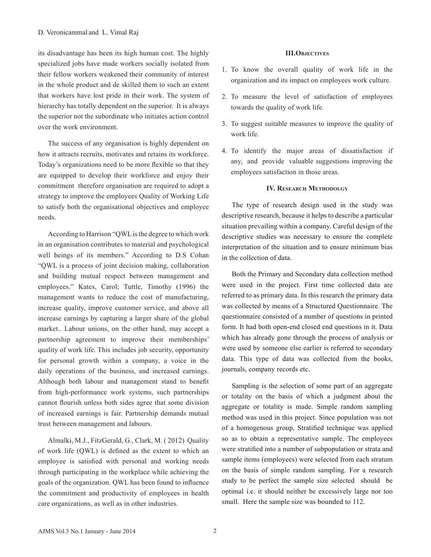its disadvantage has been its high human cost. The highly specialized jobs have made workers socially isolated from their fellow workers weakened their community of interest in the whole product and de skilled them to such an extent that workers have lost pride in their work. The system of hierarchy has totally dependent on the superior. It is always the superior not the subordinate who initiates action control over the work environment.

The success of any organisation is highly dependent on how it attracts recruits, motivates and retains its workforce. Today's organizations need to be more flexible so that they are equipped to develop their workforce and enjoy their commitment therefore organisation are required to adopt a strategy to improve the employees Quality of Working Life to satisfy both the organisational objectives and employee needs.

According to Harrison "QWL is the degree to which work in an organisation contributes to material and psychological well beings of its members." According to D.S Cohan "QWL is a process of joint decision making, collaboration and building mutual respect between management and employees." Kates, Carol; Tuttle, Timothy (1996) the management wants to reduce the cost of manufacturing, increase quality, improve customer service, and above all increase earnings by capturing a larger share of the global market.. Labour unions, on the other hand, may accept a partnership agreement to improve their memberships' quality of work life. This includes job security, opportunity for personal growth within a company, a voice in the daily operations of the business, and increased earnings. Although both labour and management stand to benefit from high-performance work systems, such partnerships cannot flourish unless both sides agree that some division of increased earnings is fair. Partnership demands mutual trust between management and labours.

Almalki, M.J., FitzGerald, G., Clark, M. ( 2012) Quality of work life (QWL) is defined as the extent to which an employee is satisfied with personal and working needs through participating in the workplace while achieving the goals of the organization. QWL has been found to influence the commitment and productivity of employees in health care organizations, as well as in other industries.

## **III.Objectives**

- 1. To know the overall quality of work life in the organization and its impact on employees work culture.
- 2. To measure the level of satisfaction of employees towards the quality of work life.
- 3. To suggest suitable measures to improve the quality of work life.
- 4. To identify the major areas of dissatisfaction if any, and provide valuable suggestions improving the employees satisfaction in those areas.

## **IV. RESEARCH METHODOLGY**

The type of research design used in the study was descriptive research, because it helps to describe a particular situation prevailing within a company. Careful design of the descriptive studies was necessary to ensure the complete interpretation of the situation and to ensure minimum bias in the collection of data.

Both the Primary and Secondary data collection method were used in the project. First time collected data are referred to as primary data. In this research the primary data was collected by means of a Structured Questionnaire. The questionnaire consisted of a number of questions in printed form. It had both open-end closed end questions in it. Data which has already gone through the process of analysis or were used by someone else earlier is referred to secondary data. This type of data was collected from the books, journals, company records etc.

Sampling is the selection of some part of an aggregate or totality on the basis of which a judgment about the aggregate or totality is made. Simple random sampling method was used in this project. Since population was not of a homogenous group, Stratified technique was applied so as to obtain a representative sample. The employees were stratified into a number of subpopulation or strata and sample items (employees) were selected from each stratum on the basis of simple random sampling. For a research study to be perfect the sample size selected should be optimal i.e. it should neither be excessively large nor too small. Here the sample size was bounded to 112.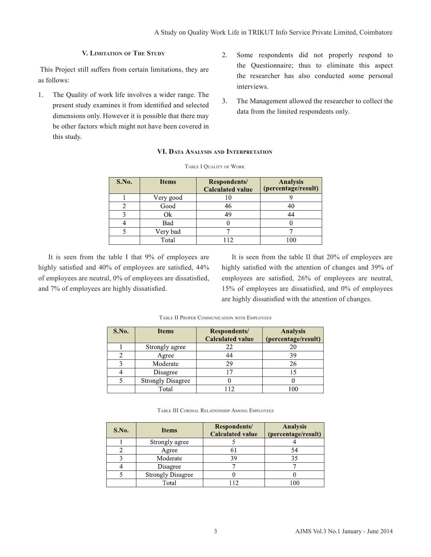# **V. Limitation of The Study**

 This Project still suffers from certain limitations, they are as follows:

- 1. The Quality of work life involves a wider range. The present study examines it from identified and selected dimensions only. However it is possible that there may be other factors which might not have been covered in this study.
- 2. Some respondents did not properly respond to the Questionnaire; thus to eliminate this aspect the researcher has also conducted some personal interviews.
- 3. The Management allowed the researcher to collect the data from the limited respondents only.

# **VI. Data Analysis and Interpretation**

| S.No. | <b>Items</b> | Respondents/<br><b>Calculated value</b> | <b>Analysis</b><br>(percentage/result) |
|-------|--------------|-----------------------------------------|----------------------------------------|
|       | Very good    |                                         |                                        |
|       | Good         | 46                                      | 40                                     |
|       | Ok           | 49                                      | 44                                     |
|       | Bad          |                                         |                                        |
|       | Very bad     |                                         |                                        |
|       | Total        |                                         | 100                                    |

## Table I Quality of Work

It is seen from the table I that 9% of employees are highly satisfied and 40% of employees are satisfied, 44% of employees are neutral, 0% of employees are dissatisfied, and 7% of employees are highly dissatisfied.

It is seen from the table II that 20% of employees are highly satisfied with the attention of changes and 39% of employees are satisfied, 26% of employees are neutral, 15% of employees are dissatisfied, and 0% of employees are highly dissatisfied with the attention of changes.

| S.No. | <b>Items</b>             | <b>Respondents/</b><br><b>Calculated value</b> | <b>Analysis</b><br>(percentage/result) |
|-------|--------------------------|------------------------------------------------|----------------------------------------|
|       | Strongly agree           | 22                                             | 20                                     |
|       | Agree                    | 44                                             | 39                                     |
|       | Moderate                 | 29                                             | 26                                     |
|       | Disagree                 |                                                |                                        |
|       | <b>Strongly Disagree</b> |                                                |                                        |
|       | Total                    | 112                                            | 100                                    |

Table II Proper Communication with Employees

Table III Cordial Relationship Among Employees

| S.No. | <b>Items</b>             | Respondents/<br><b>Calculated value</b> | <b>Analysis</b><br>(percentage/result) |
|-------|--------------------------|-----------------------------------------|----------------------------------------|
|       | Strongly agree           |                                         |                                        |
|       | Agree                    |                                         | 54                                     |
|       | Moderate                 | 39                                      | 35                                     |
|       | Disagree                 |                                         |                                        |
|       | <b>Strongly Disagree</b> |                                         |                                        |
|       | Total                    |                                         |                                        |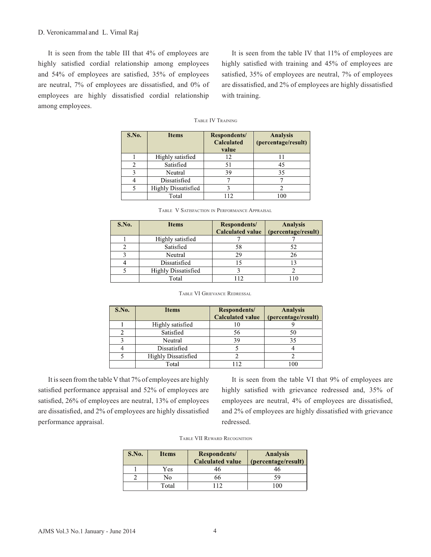It is seen from the table III that 4% of employees are highly satisfied cordial relationship among employees and 54% of employees are satisfied, 35% of employees are neutral, 7% of employees are dissatisfied, and 0% of employees are highly dissatisfied cordial relationship among employees.

It is seen from the table IV that 11% of employees are highly satisfied with training and 45% of employees are satisfied, 35% of employees are neutral, 7% of employees are dissatisfied, and 2% of employees are highly dissatisfied with training.

### Table IV Training

| S.No. | <b>Items</b>               | Respondents/<br>Calculated<br>value | <b>Analysis</b><br>(percentage/result) |
|-------|----------------------------|-------------------------------------|----------------------------------------|
|       | Highly satisfied           | 12                                  |                                        |
| C     | Satisfied                  | 51                                  | 45                                     |
| 2     | Neutral                    | 39                                  | 35                                     |
|       | Dissatisfied               |                                     |                                        |
|       | <b>Highly Dissatisfied</b> |                                     |                                        |
|       | Total                      | 112                                 | 100                                    |

| S.No. | <b>Items</b>               | Respondents/<br><b>Calculated value</b> | <b>Analysis</b><br>(percentage/result) |
|-------|----------------------------|-----------------------------------------|----------------------------------------|
|       | Highly satisfied           |                                         |                                        |
|       | Satisfied                  | 58                                      | 52                                     |
|       | Neutral                    | 29                                      | 26                                     |
|       | Dissatisfied               |                                         |                                        |
|       | <b>Highly Dissatisfied</b> |                                         |                                        |
|       | Total                      |                                         |                                        |

#### Table VI Grievance Redressal

| S.No. | <b>Items</b>               | Respondents/<br><b>Calculated value</b> | <b>Analysis</b><br>(percentage/result) |
|-------|----------------------------|-----------------------------------------|----------------------------------------|
|       | Highly satisfied           | 10                                      |                                        |
|       | Satisfied                  | 56                                      | 50                                     |
|       | Neutral                    | 39                                      | 35                                     |
|       | Dissatisfied               |                                         |                                        |
|       | <b>Highly Dissatisfied</b> |                                         |                                        |
|       | Total                      |                                         | 100                                    |

It is seen from the table V that 7% of employees are highly satisfied performance appraisal and 52% of employees are satisfied, 26% of employees are neutral, 13% of employees are dissatisfied, and 2% of employees are highly dissatisfied performance appraisal.

It is seen from the table VI that 9% of employees are highly satisfied with grievance redressed and, 35% of employees are neutral, 4% of employees are dissatisfied, and 2% of employees are highly dissatisfied with grievance redressed.

|  |  |  | <b>TABLE VII REWARD RECOGNITION</b> |
|--|--|--|-------------------------------------|
|--|--|--|-------------------------------------|

| S.No. | <b>Items</b> | Respondents/<br><b>Calculated value</b> | <b>Analysis</b><br>(percentage/result) |
|-------|--------------|-----------------------------------------|----------------------------------------|
|       | Yes          | 16                                      |                                        |
|       | No           | hh                                      | 59                                     |
|       | Total        |                                         | ۱n٢                                    |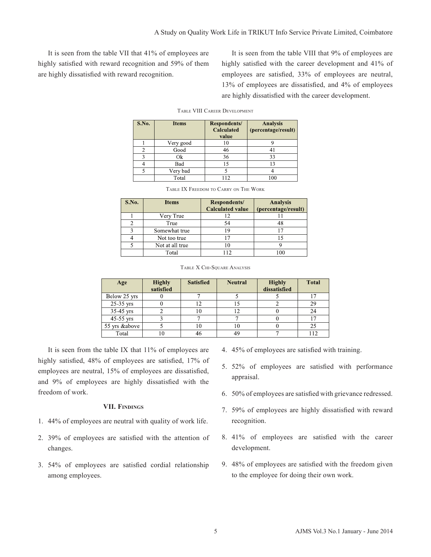It is seen from the table VII that 41% of employees are highly satisfied with reward recognition and 59% of them are highly dissatisfied with reward recognition.

It is seen from the table VIII that 9% of employees are highly satisfied with the career development and 41% of employees are satisfied, 33% of employees are neutral, 13% of employees are dissatisfied, and 4% of employees are highly dissatisfied with the career development.

| S.No. | <b>Items</b> | <b>Respondents/</b><br>Calculated<br>value | <b>Analysis</b><br>(percentage/result) |
|-------|--------------|--------------------------------------------|----------------------------------------|
|       | Very good    | 10                                         |                                        |
| 2     | Good         | 46                                         | 4                                      |
| 3     | Ok           | 36                                         | 33                                     |
|       | Bad          | 15                                         | 13                                     |
| 5     | Very bad     |                                            |                                        |
|       | Total        | 12                                         | 100                                    |

| S.No. | <b>Items</b>    | Respondents/<br><b>Calculated value</b> | <b>Analysis</b><br>(percentage/result) |
|-------|-----------------|-----------------------------------------|----------------------------------------|
|       | Very True       |                                         |                                        |
|       | True            | 54                                      | 48                                     |
| ٩     | Somewhat true   | 19                                      |                                        |
|       | Not too true    |                                         |                                        |
|       | Not at all true |                                         |                                        |
|       | Total           | 112                                     |                                        |

Table IX Freedom to Carry on The Work

| Age           | <b>Highly</b><br>satisfied | <b>Satisfied</b> | <b>Neutral</b> | <b>Highly</b><br>dissatisfied | <b>Total</b> |
|---------------|----------------------------|------------------|----------------|-------------------------------|--------------|
| Below 25 yrs  |                            |                  |                |                               |              |
| 25-35 yrs     |                            |                  | Ŀ              |                               | 29           |
| 35-45 yrs     |                            | 10               | 12             |                               | 24           |
| 45-55 yrs     |                            |                  |                |                               |              |
| 55 yrs &above |                            | 10               | 10             |                               | 25           |
| Total         | 10                         | 46               | 49             |                               | 112          |

It is seen from the table IX that 11% of employees are highly satisfied, 48% of employees are satisfied, 17% of employees are neutral, 15% of employees are dissatisfied, and 9% of employees are highly dissatisfied with the freedom of work.

# **VII. Findings**

- 1. 44% of employees are neutral with quality of work life.
- 2. 39% of employees are satisfied with the attention of changes.
- 3. 54% of employees are satisfied cordial relationship among employees.
- 4. 45% of employees are satisfied with training.
- 5. 52% of employees are satisfied with performance appraisal.
- 6. 50% of employees are satisfied with grievance redressed.
- 7. 59% of employees are highly dissatisfied with reward recognition.
- 8. 41% of employees are satisfied with the career development.
- 9. 48% of employees are satisfied with the freedom given to the employee for doing their own work.